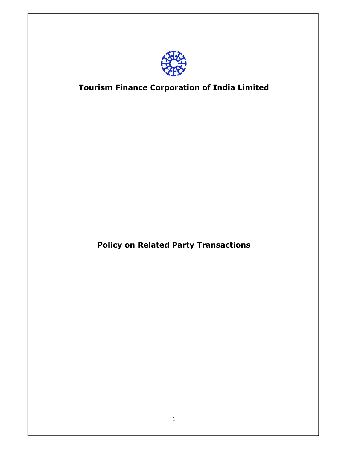

# Tourism Finance Corporation of India Limited

Policy on Related Party Transactions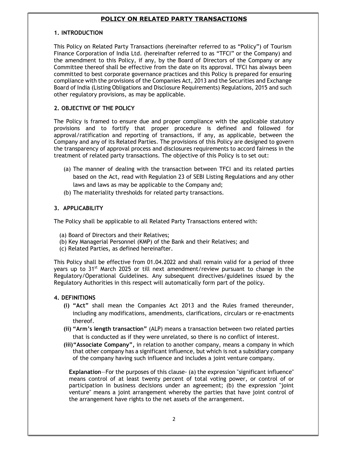## POLICY ON RELATED PARTY TRANSACTIONS

#### 1. INTRODUCTION

This Policy on Related Party Transactions (hereinafter referred to as "Policy") of Tourism Finance Corporation of India Ltd. (hereinafter referred to as "TFCI" or the Company) and the amendment to this Policy, if any, by the Board of Directors of the Company or any Committee thereof shall be effective from the date on its approval. TFCI has always been committed to best corporate governance practices and this Policy is prepared for ensuring compliance with the provisions of the Companies Act, 2013 and the Securities and Exchange Board of India (Listing Obligations and Disclosure Requirements) Regulations, 2015 and such other regulatory provisions, as may be applicable.

#### 2. OBJECTIVE OF THE POLICY

The Policy is framed to ensure due and proper compliance with the applicable statutory provisions and to fortify that proper procedure is defined and followed for approval/ratification and reporting of transactions, if any, as applicable, between the Company and any of its Related Parties. The provisions of this Policy are designed to govern the transparency of approval process and disclosures requirements to accord fairness in the treatment of related party transactions. The objective of this Policy is to set out:

- (a) The manner of dealing with the transaction between TFCI and its related parties based on the Act, read with Regulation 23 of SEBI Listing Regulations and any other laws and laws as may be applicable to the Company and;
- (b) The materiality thresholds for related party transactions.

#### 3. APPLICABILITY

The Policy shall be applicable to all Related Party Transactions entered with:

- (a) Board of Directors and their Relatives;
- (b) Key Managerial Personnel (KMP) of the Bank and their Relatives; and
- (c) Related Parties, as defined hereinafter.

This Policy shall be effective from 01.04.2022 and shall remain valid for a period of three years up to  $31<sup>st</sup>$  March 2025 or till next amendment/review pursuant to change in the Regulatory/Operational Guidelines. Any subsequent directives/guidelines issued by the Regulatory Authorities in this respect will automatically form part of the policy.

### 4. DEFINITIONS

- (i) "Act" shall mean the Companies Act 2013 and the Rules framed thereunder, including any modifications, amendments, clarifications, circulars or re-enactments thereof.
- (ii) "Arm's length transaction" (ALP) means a transaction between two related parties that is conducted as if they were unrelated, so there is no conflict of interest.
- (iii)"Associate Company", in relation to another company, means a company in which that other company has a significant influence, but which is not a subsidiary company of the company having such influence and includes a joint venture company.

Explanation—For the purposes of this clause- (a) the expression "significant influence" means control of at least twenty percent of total voting power, or control of or participation in business decisions under an agreement; (b) the expression "joint venture" means a joint arrangement whereby the parties that have joint control of the arrangement have rights to the net assets of the arrangement.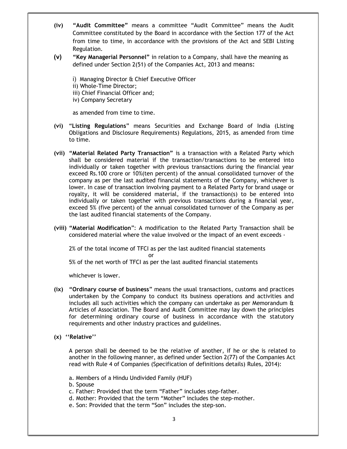- (iv) "Audit Committee" means a committee "Audit Committee" means the Audit Committee constituted by the Board in accordance with the Section 177 of the Act from time to time, in accordance with the provisions of the Act and SEBI Listing Regulation.
- (v) "Key Managerial Personnel" in relation to a Company, shall have the meaning as defined under Section 2(51) of the Companies Act, 2013 and means:

i) Managing Director & Chief Executive Officer ii) Whole-Time Director; iii) Chief Financial Officer and; iv) Company Secretary

as amended from time to time.

- (vi) "Listing Regulations" means Securities and Exchange Board of India (Listing Obligations and Disclosure Requirements) Regulations, 2015, as amended from time to time.
- (vii) "Material Related Party Transaction" is a transaction with a Related Party which shall be considered material if the transaction/transactions to be entered into individually or taken together with previous transactions during the financial year exceed Rs.100 crore or 10%(ten percent) of the annual consolidated turnover of the company as per the last audited financial statements of the Company, whichever is lower. In case of transaction involving payment to a Related Party for brand usage or royalty, it will be considered material, if the transaction(s) to be entered into individually or taken together with previous transactions during a financial year, exceed 5% (five percent) of the annual consolidated turnover of the Company as per the last audited financial statements of the Company.
- (viii) "Material Modification": A modification to the Related Party Transaction shall be considered material where the value involved or the impact of an event exceeds -

2% of the total income of TFCI as per the last audited financial statements **or** and the state of the state of the state of the state of the state of the state of the state of the state of the state of the state of the state of the state of the state of the state of the state of the state of the s

5% of the net worth of TFCI as per the last audited financial statements

whichever is lower.

- (ix) "Ordinary course of business" means the usual transactions, customs and practices undertaken by the Company to conduct its business operations and activities and includes all such activities which the company can undertake as per Memorandum & Articles of Association. The Board and Audit Committee may lay down the principles for determining ordinary course of business in accordance with the statutory requirements and other industry practices and guidelines.
- (x) ''Relative''

A person shall be deemed to be the relative of another, if he or she is related to another in the following manner, as defined under Section 2(77) of the Companies Act read with Rule 4 of Companies (Specification of definitions details) Rules, 2014):

a. Members of a Hindu Undivided Family (HUF)

b. Spouse

- c. Father: Provided that the term "Father" includes step-father.
- d. Mother: Provided that the term "Mother" includes the step-mother.
- e. Son: Provided that the term "Son" includes the step-son.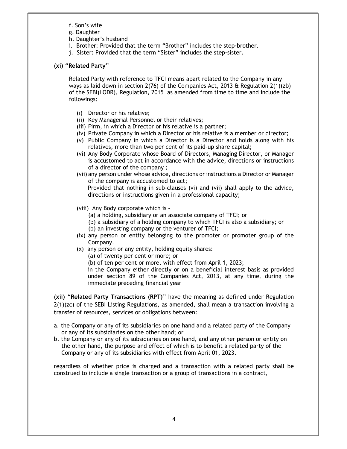- f. Son's wife
- g. Daughter
- h. Daughter's husband
- i. Brother: Provided that the term "Brother" includes the step-brother.
- j. Sister: Provided that the term "Sister" includes the step-sister.

#### (xi) "Related Party"

Related Party with reference to TFCI means apart related to the Company in any ways as laid down in section 2(76) of the Companies Act, 2013  $\&$  Regulation 2(1)(zb) of the SEBI(LODR), Regulation, 2015 as amended from time to time and include the followings:

- (i) Director or his relative;
- (ii) Key Managerial Personnel or their relatives;
- (iii) Firm, in which a Director or his relative is a partner;
- (iv) Private Company in which a Director or his relative is a member or director;
- (v) Public Company in which a Director is a Director and holds along with his relatives, more than two per cent of its paid-up share capital;
- (vi) Any Body Corporate whose Board of Directors, Managing Director, or Manager is accustomed to act in accordance with the advice, directions or instructions of a director of the company ;
- (vii) any person under whose advice, directions or instructions a Director or Manager of the company is accustomed to act;

Provided that nothing in sub-clauses (vi) and (vii) shall apply to the advice, directions or instructions given in a professional capacity;

- (viii) Any Body corporate which is
	- (a) a holding, subsidiary or an associate company of TFCI; or
	- (b) a subsidiary of a holding company to which TFCI is also a subsidiary; or
	- (b) an investing company or the venturer of TFCI;
- (ix) any person or entity belonging to the promoter or promoter group of the Company.
- (x) any person or any entity, holding equity shares:
	- (a) of twenty per cent or more; or
	- (b) of ten per cent or more, with effect from April 1, 2023;

in the Company either directly or on a beneficial interest basis as provided under section 89 of the Companies Act, 2013, at any time, during the immediate preceding financial year

(xii) "Related Party Transactions (RPT)" have the meaning as defined under Regulation  $2(1)(zc)$  of the SEBI Listing Regulations, as amended, shall mean a transaction involving a transfer of resources, services or obligations between:

- a. the Company or any of its subsidiaries on one hand and a related party of the Company or any of its subsidiaries on the other hand; or
- b. the Company or any of its subsidiaries on one hand, and any other person or entity on the other hand, the purpose and effect of which is to benefit a related party of the Company or any of its subsidiaries with effect from April 01, 2023.

regardless of whether price is charged and a transaction with a related party shall be construed to include a single transaction or a group of transactions in a contract,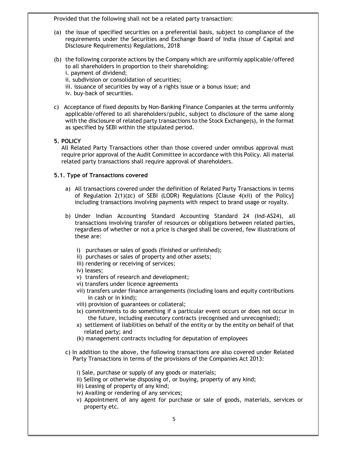Provided that the following shall not be a related party transaction:

- (a) the issue of specified securities on a preferential basis, subject to compliance of the requirements under the Securities and Exchange Board of India (Issue of Capital and Disclosure Requirements) Regulations, 2018
- (b) the following corporate actions by the Company which are uniformly applicable/offered to all shareholders in proportion to their shareholding: i. payment of dividend;

ii. subdivision or consolidation of securities;

- iii. issuance of securities by way of a rights issue or a bonus issue; and
- iv. buy-back of securities.
- c) Acceptance of fixed deposits by Non-Banking Finance Companies at the terms uniformly applicable/offered to all shareholders/public, subject to disclosure of the same along with the disclosure of related party transactions to the Stock Exchange(s), in the format as specified by SEBI within the stipulated period.

#### 5. POLICY

All Related Party Transactions other than those covered under omnibus approval must require prior approval of the Audit Committee in accordance with this Policy. All material related party transactions shall require approval of shareholders.

#### 5.1. Type of Transactions covered

- a) All transactions covered under the definition of Related Party Transactions in terms of Regulation  $2(1)(zc)$  of SEBI (LODR) Regulations [Clause  $4(xii)$  of the Policy] including transactions involving payments with respect to brand usage or royalty.
- b) Under Indian Accounting Standard Accounting Standard 24 (Ind-AS24), all transactions involving transfer of resources or obligations between related parties, regardless of whether or not a price is charged shall be covered, few illustrations of these are:
	- i) purchases or sales of goods (finished or unfinished);
	- ii) purchases or sales of property and other assets;
	- iii) rendering or receiving of services;
	- iv) leases;
	- v) transfers of research and development;
	- vi) transfers under licence agreements
	- vii) transfers under finance arrangements (including loans and equity contributions in cash or in kind);
	- viii) provision of guarantees or collateral;
	- ix) commitments to do something if a particular event occurs or does not occur in the future, including executory contracts (recognised and unrecognised);
	- x) settlement of liabilities on behalf of the entity or by the entity on behalf of that related party; and
	- (k) management contracts including for deputation of employees
- c) In addition to the above, the following transactions are also covered under Related Party Transactions in terms of the provisions of the Companies Act 2013:
	- i) Sale, purchase or supply of any goods or materials;
	- ii) Selling or otherwise disposing of, or buying, property of any kind;
	- iii) Leasing of property of any kind;
	- iv) Availing or rendering of any services;
	- v) Appointment of any agent for purchase or sale of goods, materials, services or property etc.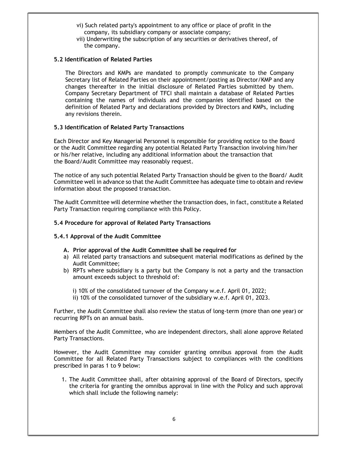- vi) Such related party's appointment to any office or place of profit in the company, its subsidiary company or associate company;
- vii) Underwriting the subscription of any securities or derivatives thereof, of the company.

#### 5.2 Identification of Related Parties

The Directors and KMPs are mandated to promptly communicate to the Company Secretary list of Related Parties on their appointment/posting as Director/KMP and any changes thereafter in the initial disclosure of Related Parties submitted by them. Company Secretary Department of TFCI shall maintain a database of Related Parties containing the names of individuals and the companies identified based on the definition of Related Party and declarations provided by Directors and KMPs, including any revisions therein.

#### 5.3 Identification of Related Party Transactions

Each Director and Key Managerial Personnel is responsible for providing notice to the Board or the Audit Committee regarding any potential Related Party Transaction involving him/her or his/her relative, including any additional information about the transaction that the Board/Audit Committee may reasonably request.

The notice of any such potential Related Party Transaction should be given to the Board/ Audit Committee well in advance so that the Audit Committee has adequate time to obtain and review information about the proposed transaction.

The Audit Committee will determine whether the transaction does, in fact, constitute a Related Party Transaction requiring compliance with this Policy.

#### 5.4 Procedure for approval of Related Party Transactions

### 5.4.1 Approval of the Audit Committee

- A. Prior approval of the Audit Committee shall be required for
- a) All related party transactions and subsequent material modifications as defined by the Audit Committee;
- b) RPTs where subsidiary is a party but the Company is not a party and the transaction amount exceeds subject to threshold of:
	- i) 10% of the consolidated turnover of the Company w.e.f. April 01, 2022;
	- ii) 10% of the consolidated turnover of the subsidiary w.e.f. April 01, 2023.

Further, the Audit Committee shall also review the status of long-term (more than one year) or recurring RPTs on an annual basis.

Members of the Audit Committee, who are independent directors, shall alone approve Related Party Transactions.

However, the Audit Committee may consider granting omnibus approval from the Audit Committee for all Related Party Transactions subject to compliances with the conditions prescribed in paras 1 to 9 below:

1. The Audit Committee shall, after obtaining approval of the Board of Directors, specify the criteria for granting the omnibus approval in line with the Policy and such approval which shall include the following namely: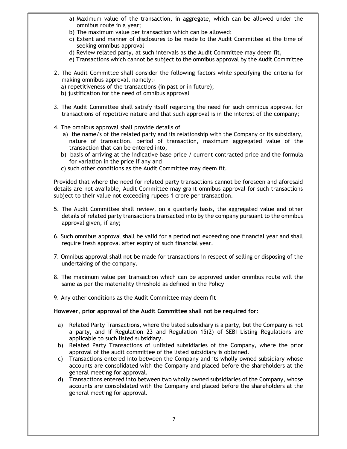- a) Maximum value of the transaction, in aggregate, which can be allowed under the omnibus route in a year;
- b) The maximum value per transaction which can be allowed;
- c) Extent and manner of disclosures to be made to the Audit Committee at the time of seeking omnibus approval
- d) Review related party, at such intervals as the Audit Committee may deem fit,
- e) Transactions which cannot be subject to the omnibus approval by the Audit Committee
- 2. The Audit Committee shall consider the following factors while specifying the criteria for making omnibus approval, namely:
	- a) repetitiveness of the transactions (in past or in future);
	- b) justification for the need of omnibus approval
- 3. The Audit Committee shall satisfy itself regarding the need for such omnibus approval for transactions of repetitive nature and that such approval is in the interest of the company;
- 4. The omnibus approval shall provide details of
	- a) the name/s of the related party and its relationship with the Company or its subsidiary, nature of transaction, period of transaction, maximum aggregated value of the transaction that can be entered into,
	- b) basis of arriving at the indicative base price / current contracted price and the formula for variation in the price if any and
	- c) such other conditions as the Audit Committee may deem fit.

Provided that where the need for related party transactions cannot be foreseen and aforesaid details are not available, Audit Committee may grant omnibus approval for such transactions subject to their value not exceeding rupees 1 crore per transaction.

- 5. The Audit Committee shall review, on a quarterly basis, the aggregated value and other details of related party transactions transacted into by the company pursuant to the omnibus approval given, if any;
- 6. Such omnibus approval shall be valid for a period not exceeding one financial year and shall require fresh approval after expiry of such financial year.
- 7. Omnibus approval shall not be made for transactions in respect of selling or disposing of the undertaking of the company.
- 8. The maximum value per transaction which can be approved under omnibus route will the same as per the materiality threshold as defined in the Policy
- 9. Any other conditions as the Audit Committee may deem fit

#### However, prior approval of the Audit Committee shall not be required for:

- a) Related Party Transactions, where the listed subsidiary is a party, but the Company is not a party, and if Regulation 23 and Regulation 15(2) of SEBI Listing Regulations are applicable to such listed subsidiary.
- b) Related Party Transactions of unlisted subsidiaries of the Company, where the prior approval of the audit committee of the listed subsidiary is obtained.
- c) Transactions entered into between the Company and its wholly owned subsidiary whose accounts are consolidated with the Company and placed before the shareholders at the general meeting for approval.
- d) Transactions entered into between two wholly owned subsidiaries of the Company, whose accounts are consolidated with the Company and placed before the shareholders at the general meeting for approval.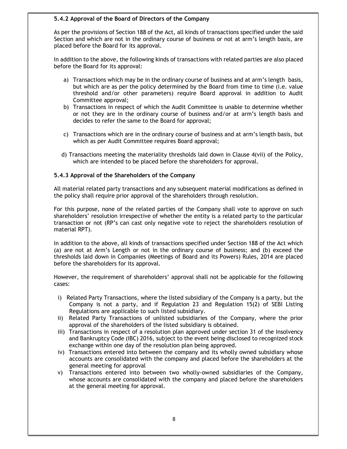#### 5.4.2 Approval of the Board of Directors of the Company

As per the provisions of Section 188 of the Act, all kinds of transactions specified under the said Section and which are not in the ordinary course of business or not at arm's length basis, are placed before the Board for its approval.

In addition to the above, the following kinds of transactions with related parties are also placed before the Board for its approval:

- a) Transactions which may be in the ordinary course of business and at arm's length basis, but which are as per the policy determined by the Board from time to time (i.e. value threshold and/or other parameters) require Board approval in addition to Audit Committee approval;
- b) Transactions in respect of which the Audit Committee is unable to determine whether or not they are in the ordinary course of business and/or at arm's length basis and decides to refer the same to the Board for approval;
- c) Transactions which are in the ordinary course of business and at arm's length basis, but which as per Audit Committee requires Board approval;
- d) Transactions meeting the materiality thresholds laid down in Clause 4(vii) of the Policy, which are intended to be placed before the shareholders for approval.

#### 5.4.3 Approval of the Shareholders of the Company

All material related party transactions and any subsequent material modifications as defined in the policy shall require prior approval of the shareholders through resolution.

For this purpose, none of the related parties of the Company shall vote to approve on such shareholders' resolution irrespective of whether the entity is a related party to the particular transaction or not (RP's can cast only negative vote to reject the shareholders resolution of material RPT).

In addition to the above, all kinds of transactions specified under Section 188 of the Act which (a) are not at Arm's Length or not in the ordinary course of business; and (b) exceed the thresholds laid down in Companies (Meetings of Board and its Powers) Rules, 2014 are placed before the shareholders for its approval.

However, the requirement of shareholders' approval shall not be applicable for the following cases:

- i) Related Party Transactions, where the listed subsidiary of the Company is a party, but the Company is not a party, and if Regulation 23 and Regulation 15(2) of SEBI Listing Regulations are applicable to such listed subsidiary.
- ii) Related Party Transactions of unlisted subsidiaries of the Company, where the prior approval of the shareholders of the listed subsidiary is obtained.
- iii) Transactions in respect of a resolution plan approved under section 31 of the Insolvency and Bankruptcy Code (IBC) 2016, subject to the event being disclosed to recognized stock exchange within one day of the resolution plan being approved.
- iv) Transactions entered into between the company and its wholly owned subsidiary whose accounts are consolidated with the company and placed before the shareholders at the general meeting for approval
- v) Transactions entered into between two wholly-owned subsidiaries of the Company, whose accounts are consolidated with the company and placed before the shareholders at the general meeting for approval.